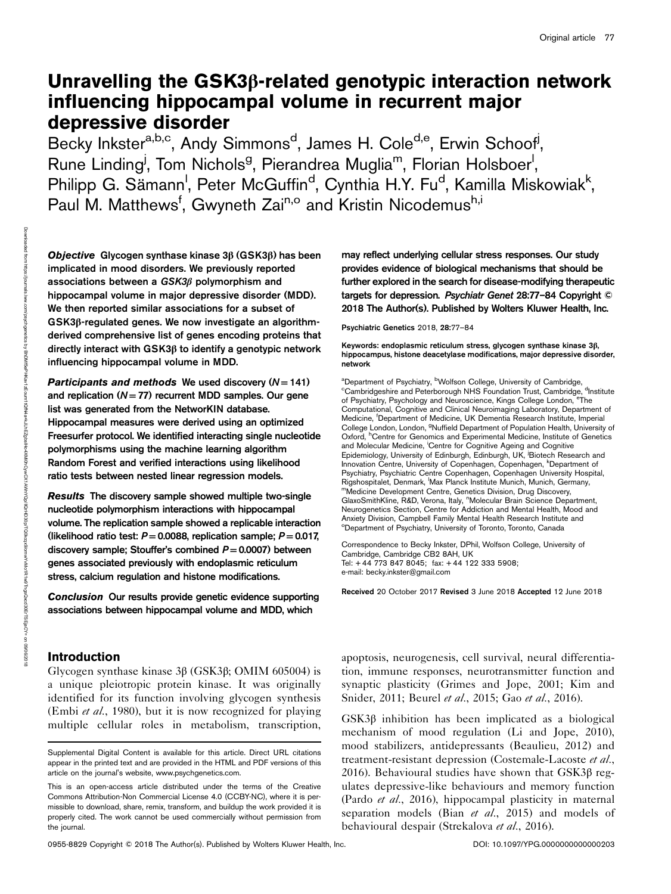# Unravelling the GSK3β-related genotypic interaction network influencing hippocampal volume in recurrent major depressive disorder

Becky Inkster<sup>a,b,c</sup>, Andy Simmons<sup>d</sup>, James H. Cole<sup>d,e</sup>, Erwin Schoof<sup>j</sup>, Rune Linding<sup>j</sup>, Tom Nichols<sup>g</sup>, Pierandrea Muglia<sup>m</sup>, Florian Holsboer<sup>!</sup>, Philipp G. Sämann<sup>I</sup>, Peter McGuffin<sup>d</sup>, Cynthia H.Y. Fu<sup>d</sup>, Kamilla Miskowiak<sup>k</sup>, Paul M. Matthews<sup>f</sup>, Gwyneth Zai<sup>n,o</sup> and Kristin Nicodemus<sup>h,i</sup>

Objective Glycogen synthase kinase 3β (GSK3β) has been implicated in mood disorders. We previously reported associations between a GSK3β polymorphism and hippocampal volume in major depressive disorder (MDD). We then reported similar associations for a subset of GSK3β-regulated genes. We now investigate an algorithmderived comprehensive list of genes encoding proteins that directly interact with GSK3β to identify a genotypic network influencing hippocampal volume in MDD.

Participants and methods We used discovery  $(N = 141)$ and replication  $(N = 77)$  recurrent MDD samples. Our gene list was generated from the NetworKIN database. Hippocampal measures were derived using an optimized Freesurfer protocol. We identified interacting single nucleotide polymorphisms using the machine learning algorithm Random Forest and verified interactions using likelihood ratio tests between nested linear regression models.

Results The discovery sample showed multiple two-single nucleotide polymorphism interactions with hippocampal volume. The replication sample showed a replicable interaction (likelihood ratio test:  $P=0.0088$ , replication sample;  $P=0.017$ , discovery sample; Stouffer's combined  $P=0.0007$ ) between genes associated previously with endoplasmic reticulum stress, calcium regulation and histone modifications.

Conclusion Our results provide genetic evidence supporting associations between hippocampal volume and MDD, which

# Introduction

Glycogen synthase kinase 3β (GSK3β; OMIM 605004) is a unique pleiotropic protein kinase. It was originally identified for its function involving glycogen synthesis (Embi *et al.*, 1980), but it is now recognized for playing multiple cellular roles in metabolism, transcription,

0955-8829 Copyright © 2018 The Author(s). Published by Wolters Kluwer Health, Inc. <br>
DOI: 10.1097/YPG.0000000000000203

may reflect underlying cellular stress responses. Our study provides evidence of biological mechanisms that should be further explored in the search for disease-modifying therapeutic targets for depression. Psychiatr Genet 28:77–84 Copyright © 2018 The Author(s). Published by Wolters Kluwer Health, Inc.

Psychiatric Genetics 2018, 28:77–84

Keywords: endoplasmic reticulum stress, glycogen synthase kinase 3β, hippocampus, histone deacetylase modifications, major depressive disorder, network

<sup>a</sup>Department of Psychiatry, <sup>b</sup> "Department of Psychiatry, ''Wolfson College, University of Cambridge,<br><sup>c</sup>Cambridgeshire and Peterborough NHS Foundation Trust, Cambridge, <sup>d</sup>Institute of Psychiatry, Psychology and Neuroscience, Kings College London, eThe Computational, Cognitive and Clinical Neuroimaging Laboratory, Department of Medicine, <sup>f</sup>Department of Medicine, UK Dementia Research Institute, Imperial College London, London, <sup>9</sup>Nuffield Department of Population Health, University of Oxford, <sup>h</sup>Centre for Genomics and Experimental Medicine, Institute of Genetics and Molecular Medicine, Centre for Cognitive Ageing and Cognitive Epidemiology, University of Edinburgh, Edinburgh, UK, <sup>j</sup>Biotech Research and Innovation Centre, University of Copenhagen, Copenhagen, <sup>k</sup>Department of Psychiatry, Psychiatric Centre Copenhagen, Copenhagen University Hospital, Rigshospitalet, Denmark, 'Max Planck Institute Munich, Munich, Germany, <sup>m</sup>Medicine Development Centre, Genetics Division, Drug Discovery, GlaxoSmithKline, R&D, Verona, Italy, "Molecular Brain Science Department, Neurogenetics Section, Centre for Addiction and Mental Health, Mood and Anxiety Division, Campbell Family Mental Health Research Institute and <sup>o</sup>Department of Psychiatry, University of Toronto, Toronto, Canada

Correspondence to Becky Inkster, DPhil, Wolfson College, University of Cambridge, Cambridge CB2 8AH, UK Tel: + 44 773 847 8045; fax: + 44 122 333 5908; e-mail: [becky.inkster@gmail.com](mailto:becky.inkster@gmail.com)

Received 20 October 2017 Revised 3 June 2018 Accepted 12 June 2018

apoptosis, neurogenesis, cell survival, neural differentiation, immune responses, neurotransmitter function and synaptic plasticity (Grimes and Jope, 2001; Kim and Snider, 2011; Beurel et al., 2015; Gao et al., 2016).

GSK3β inhibition has been implicated as a biological mechanism of mood regulation (Li and Jope, 2010), mood stabilizers, antidepressants (Beaulieu, 2012) and treatment-resistant depression (Costemale-Lacoste et al., 2016). Behavioural studies have shown that GSK3β regulates depressive-like behaviours and memory function (Pardo et al., 2016), hippocampal plasticity in maternal separation models (Bian et al., 2015) and models of behavioural despair (Strekalova et al., 2016).

Supplemental Digital Content is available for this article. Direct URL citations appear in the printed text and are provided in the HTML and PDF versions of this article on the journal's website, [www.psychgenetics.com.](http://www.psychgenetics.com)

This is an open-access article distributed under the terms of the [Creative](http://creativecommons.org/licenses/by-nc/4.0/) [Commons Attribution-Non Commercial License 4.0](http://creativecommons.org/licenses/by-nc/4.0/) (CCBY-NC), where it is permissible to download, share, remix, transform, and buildup the work provided it is properly cited. The work cannot be used commercially without permission from the journal.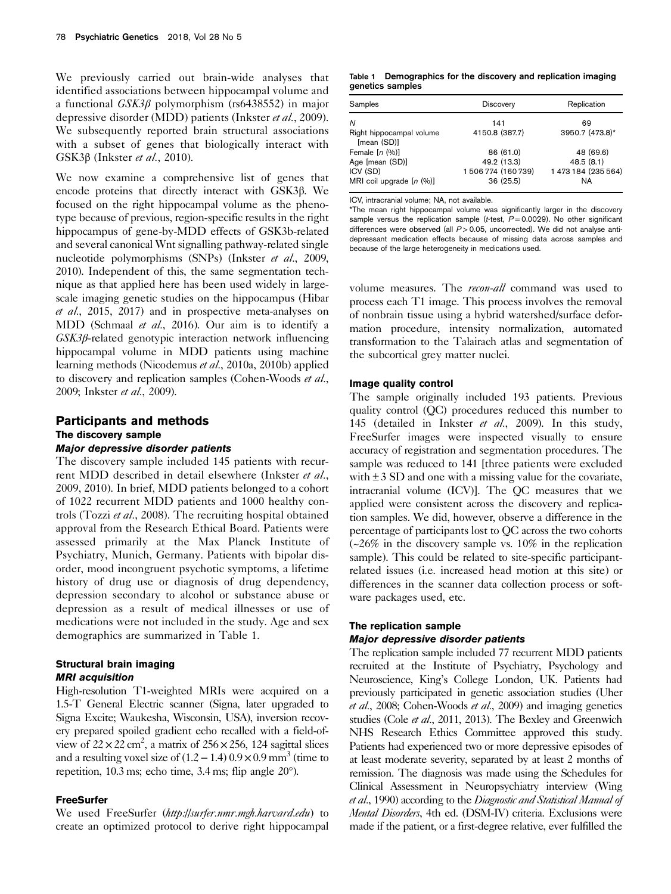We previously carried out brain-wide analyses that identified associations between hippocampal volume and a functional GSK3β polymorphism (rs6438552) in major depressive disorder (MDD) patients (Inkster et al., 2009). We subsequently reported brain structural associations with a subset of genes that biologically interact with GSK3β (Inkster et al., 2010).

We now examine a comprehensive list of genes that encode proteins that directly interact with GSK3β. We focused on the right hippocampal volume as the phenotype because of previous, region-specific results in the right hippocampus of gene-by-MDD effects of GSK3b-related and several canonical Wnt signalling pathway-related single nucleotide polymorphisms (SNPs) (Inkster et al., 2009, 2010). Independent of this, the same segmentation technique as that applied here has been used widely in largescale imaging genetic studies on the hippocampus (Hibar et al., 2015, 2017) and in prospective meta-analyses on MDD (Schmaal et al., 2016). Our aim is to identify a GSK3β-related genotypic interaction network influencing hippocampal volume in MDD patients using machine learning methods (Nicodemus et al., 2010a, 2010b) applied to discovery and replication samples (Cohen-Woods et al., 2009; Inkster et al., 2009).

# Participants and methods The discovery sample

# Major depressive disorder patients

The discovery sample included 145 patients with recurrent MDD described in detail elsewhere (Inkster et al., 2009, 2010). In brief, MDD patients belonged to a cohort of 1022 recurrent MDD patients and 1000 healthy controls (Tozzi et al., 2008). The recruiting hospital obtained approval from the Research Ethical Board. Patients were assessed primarily at the Max Planck Institute of Psychiatry, Munich, Germany. Patients with bipolar disorder, mood incongruent psychotic symptoms, a lifetime history of drug use or diagnosis of drug dependency, depression secondary to alcohol or substance abuse or depression as a result of medical illnesses or use of medications were not included in the study. Age and sex demographics are summarized in Table 1.

# Structural brain imaging MRI acquisition

High-resolution T1-weighted MRIs were acquired on a 1.5-T General Electric scanner (Signa, later upgraded to Signa Excite; Waukesha, Wisconsin, USA), inversion recovery prepared spoiled gradient echo recalled with a field-ofview of  $22 \times 22$  cm<sup>2</sup>, a matrix of  $256 \times 256$ , 124 sagittal slices and a resulting voxel size of  $(1.2 – 1.4) 0.9 \times 0.9$  mm<sup>3</sup> (time to repetition, 10.3 ms; echo time, 3.4 ms; flip angle 20°).

## **FreeSurfer**

We used FreeSurfer (<http://surfer.nmr.mgh.harvard.edu>) to create an optimized protocol to derive right hippocampal

Table 1 Demographics for the discovery and replication imaging genetics samples

| Samples                                 | <b>Discovery</b> | Replication        |  |
|-----------------------------------------|------------------|--------------------|--|
| N                                       | 141              | 69                 |  |
| Right hippocampal volume<br>[mean (SD)] | 4150.8 (387.7)   | 3950.7 (473.8)*    |  |
| Female $[n (%)]$                        | 86 (61.0)        | 48 (69.6)          |  |
| Age [mean (SD)]                         | 49.2 (13.3)      | 48.5(8.1)          |  |
| ICV (SD)                                | 1506774 (160739) | 1473 184 (235 564) |  |
| MRI coil upgrade $[n (%)]$              | 36 (25.5)        | NA                 |  |

ICV, intracranial volume; NA, not available.

\*The mean right hippocampal volume was significantly larger in the discovery sample versus the replication sample (t-test,  $P=0.0029$ ). No other significant differences were observed (all  $P > 0.05$ , uncorrected). We did not analyse antidepressant medication effects because of missing data across samples and because of the large heterogeneity in medications used.

volume measures. The *recon-all* command was used to process each T1 image. This process involves the removal of nonbrain tissue using a hybrid watershed/surface deformation procedure, intensity normalization, automated transformation to the Talairach atlas and segmentation of the subcortical grey matter nuclei.

#### Image quality control

The sample originally included 193 patients. Previous quality control (QC) procedures reduced this number to 145 (detailed in Inkster et al., 2009). In this study, FreeSurfer images were inspected visually to ensure accuracy of registration and segmentation procedures. The sample was reduced to 141 [three patients were excluded with  $\pm 3$  SD and one with a missing value for the covariate, intracranial volume (ICV)]. The QC measures that we applied were consistent across the discovery and replication samples. We did, however, observe a difference in the percentage of participants lost to QC across the two cohorts (~26% in the discovery sample vs. 10% in the replication sample). This could be related to site-specific participantrelated issues (i.e. increased head motion at this site) or differences in the scanner data collection process or software packages used, etc.

#### The replication sample

## Major depressive disorder patients

The replication sample included 77 recurrent MDD patients recruited at the Institute of Psychiatry, Psychology and Neuroscience, King's College London, UK. Patients had previously participated in genetic association studies (Uher et al., 2008; Cohen-Woods et al., 2009) and imaging genetics studies (Cole et al., 2011, 2013). The Bexley and Greenwich NHS Research Ethics Committee approved this study. Patients had experienced two or more depressive episodes of at least moderate severity, separated by at least 2 months of remission. The diagnosis was made using the Schedules for Clinical Assessment in Neuropsychiatry interview (Wing et al., 1990) according to the Diagnostic and Statistical Manual of Mental Disorders, 4th ed. (DSM-IV) criteria. Exclusions were made if the patient, or a first-degree relative, ever fulfilled the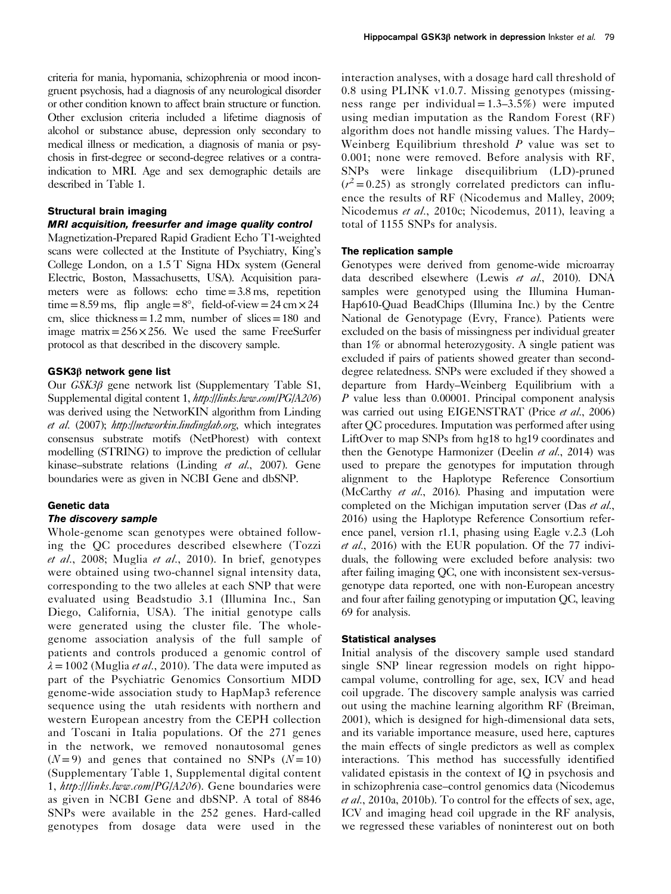criteria for mania, hypomania, schizophrenia or mood incongruent psychosis, had a diagnosis of any neurological disorder or other condition known to affect brain structure or function. Other exclusion criteria included a lifetime diagnosis of alcohol or substance abuse, depression only secondary to medical illness or medication, a diagnosis of mania or psychosis in first-degree or second-degree relatives or a contraindication to MRI. Age and sex demographic details are described in Table 1.

# Structural brain imaging

# MRI acquisition, freesurfer and image quality control

Magnetization-Prepared Rapid Gradient Echo T1-weighted scans were collected at the Institute of Psychiatry, King's College London, on a 1.5 T Signa HDx system (General Electric, Boston, Massachusetts, USA). Acquisition parameters were as follows: echo time=3.8 ms, repetition time=8.59 ms, flip angle=8°, field-of-view=24 cm  $\times$  24 cm, slice thickness =  $1.2$  mm, number of slices = 180 and image matrix= $256 \times 256$ . We used the same FreeSurfer protocol as that described in the discovery sample.

## GSK3β network gene list

Our GSK3β gene network list (Supplementary Table S1, Supplemental digital content 1, <http://links.lww.com/PG/A206>) was derived using the NetworKIN algorithm from Linding et al. (2007); <http://networkin.lindinglab.org>, which integrates consensus substrate motifs (NetPhorest) with context modelling (STRING) to improve the prediction of cellular kinase–substrate relations (Linding et al., 2007). Gene boundaries were as given in NCBI Gene and dbSNP.

# Genetic data

## The discovery sample

Whole-genome scan genotypes were obtained following the QC procedures described elsewhere (Tozzi et al., 2008; Muglia et al., 2010). In brief, genotypes were obtained using two-channel signal intensity data, corresponding to the two alleles at each SNP that were evaluated using Beadstudio 3.1 (Illumina Inc., San Diego, California, USA). The initial genotype calls were generated using the cluster file. The wholegenome association analysis of the full sample of patients and controls produced a genomic control of  $\lambda = 1002$  (Muglia *et al.*, 2010). The data were imputed as part of the Psychiatric Genomics Consortium MDD genome-wide association study to HapMap3 reference sequence using the utah residents with northern and western European ancestry from the CEPH collection and Toscani in Italia populations. Of the 271 genes in the network, we removed nonautosomal genes  $(N=9)$  and genes that contained no SNPs  $(N=10)$ (Supplementary Table 1, Supplemental digital content 1, <http://links.lww.com/PG/A206>). Gene boundaries were as given in NCBI Gene and dbSNP. A total of 8846 SNPs were available in the 252 genes. Hard-called genotypes from dosage data were used in the

interaction analyses, with a dosage hard call threshold of 0.8 using PLINK v1.0.7. Missing genotypes (missingness range per individual =  $1.3 - 3.5\%$ ) were imputed using median imputation as the Random Forest (RF) algorithm does not handle missing values. The Hardy– Weinberg Equilibrium threshold  $P$  value was set to 0.001; none were removed. Before analysis with RF, SNPs were linkage disequilibrium (LD)-pruned  $(r^2 = 0.25)$  as strongly correlated predictors can influence the results of RF (Nicodemus and Malley, 2009; Nicodemus et al., 2010c; Nicodemus, 2011), leaving a total of 1155 SNPs for analysis.

# The replication sample

Genotypes were derived from genome-wide microarray data described elsewhere (Lewis et al., 2010). DNA samples were genotyped using the Illumina Human-Hap610-Quad BeadChips (Illumina Inc.) by the Centre National de Genotypage (Evry, France). Patients were excluded on the basis of missingness per individual greater than 1% or abnormal heterozygosity. A single patient was excluded if pairs of patients showed greater than seconddegree relatedness. SNPs were excluded if they showed a departure from Hardy–Weinberg Equilibrium with a P value less than 0.00001. Principal component analysis was carried out using EIGENSTRAT (Price et al., 2006) after QC procedures. Imputation was performed after using LiftOver to map SNPs from hg18 to hg19 coordinates and then the Genotype Harmonizer (Deelin et al., 2014) was used to prepare the genotypes for imputation through alignment to the Haplotype Reference Consortium (McCarthy et al., 2016). Phasing and imputation were completed on the Michigan imputation server (Das et al., 2016) using the Haplotype Reference Consortium reference panel, version r1.1, phasing using Eagle v.2.3 (Loh et al., 2016) with the EUR population. Of the 77 individuals, the following were excluded before analysis: two after failing imaging QC, one with inconsistent sex-versusgenotype data reported, one with non-European ancestry and four after failing genotyping or imputation QC, leaving 69 for analysis.

#### Statistical analyses

Initial analysis of the discovery sample used standard single SNP linear regression models on right hippocampal volume, controlling for age, sex, ICV and head coil upgrade. The discovery sample analysis was carried out using the machine learning algorithm RF (Breiman, 2001), which is designed for high-dimensional data sets, and its variable importance measure, used here, captures the main effects of single predictors as well as complex interactions. This method has successfully identified validated epistasis in the context of IQ in psychosis and in schizophrenia case–control genomics data (Nicodemus et al., 2010a, 2010b). To control for the effects of sex, age, ICV and imaging head coil upgrade in the RF analysis, we regressed these variables of noninterest out on both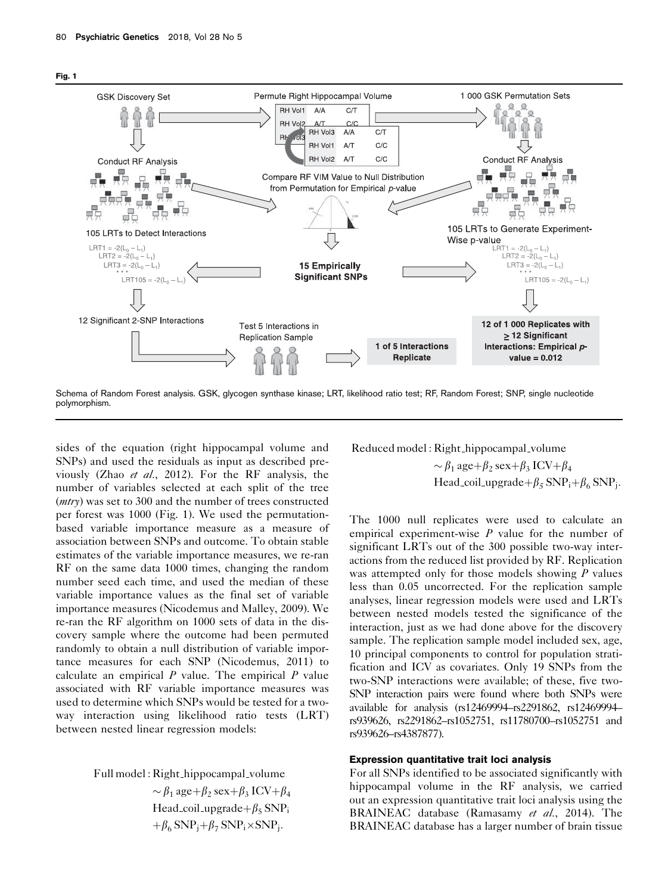



sides of the equation (right hippocampal volume and SNPs) and used the residuals as input as described previously (Zhao et al., 2012). For the RF analysis, the number of variables selected at each split of the tree (mtry) was set to 300 and the number of trees constructed per forest was 1000 (Fig. 1). We used the permutationbased variable importance measure as a measure of association between SNPs and outcome. To obtain stable estimates of the variable importance measures, we re-ran RF on the same data 1000 times, changing the random number seed each time, and used the median of these variable importance values as the final set of variable importance measures (Nicodemus and Malley, 2009). We re-ran the RF algorithm on 1000 sets of data in the discovery sample where the outcome had been permuted randomly to obtain a null distribution of variable importance measures for each SNP (Nicodemus, 2011) to calculate an empirical  $P$  value. The empirical  $P$  value associated with RF variable importance measures was used to determine which SNPs would be tested for a twoway interaction using likelihood ratio tests (LRT) between nested linear regression models:

Full model : Right hippocampal volume

 $\sim \beta_1$  age +  $\beta_2$  sex +  $\beta_3$  ICV +  $\beta_4$ Head coil upgrade  $+\beta_5$  SNP<sub>i</sub>  $+\beta_6$  SNP<sub>i</sub> $+\beta_7$  SNP<sub>i</sub> $\times$ SNP<sub>i</sub>.

Reduced model : Right hippocampal volume

 $\sim \beta_1$  age +  $\beta_2$  sex +  $\beta_3$  ICV +  $\beta_4$ Head\_coil\_upgrade+ $\beta_5$  SNP<sub>i</sub>+ $\beta_6$  SNP<sub>i</sub>.

The 1000 null replicates were used to calculate an empirical experiment-wise  $P$  value for the number of significant LRTs out of the 300 possible two-way interactions from the reduced list provided by RF. Replication was attempted only for those models showing  $P$  values less than 0.05 uncorrected. For the replication sample analyses, linear regression models were used and LRTs between nested models tested the significance of the interaction, just as we had done above for the discovery sample. The replication sample model included sex, age, 10 principal components to control for population stratification and ICV as covariates. Only 19 SNPs from the two-SNP interactions were available; of these, five two-SNP interaction pairs were found where both SNPs were available for analysis (rs12469994–rs2291862, rs12469994– rs939626, rs2291862–rs1052751, rs11780700–rs1052751 and rs939626–rs4387877).

## Expression quantitative trait loci analysis

For all SNPs identified to be associated significantly with hippocampal volume in the RF analysis, we carried out an expression quantitative trait loci analysis using the BRAINEAC database (Ramasamy et al., 2014). The BRAINEAC database has a larger number of brain tissue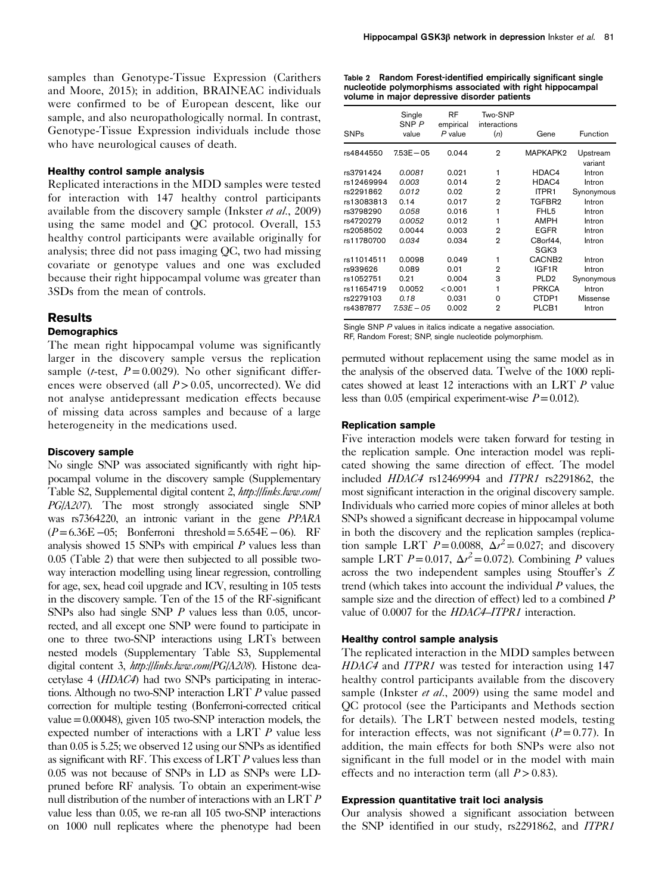samples than Genotype-Tissue Expression (Carithers and Moore, 2015); in addition, BRAINEAC individuals were confirmed to be of European descent, like our sample, and also neuropathologically normal. In contrast, Genotype-Tissue Expression individuals include those who have neurological causes of death.

# Healthy control sample analysis

Replicated interactions in the MDD samples were tested for interaction with 147 healthy control participants available from the discovery sample (Inkster et al., 2009) using the same model and QC protocol. Overall, 153 healthy control participants were available originally for analysis; three did not pass imaging QC, two had missing covariate or genotype values and one was excluded because their right hippocampal volume was greater than 3SDs from the mean of controls.

# Results

# **Demographics**

The mean right hippocampal volume was significantly larger in the discovery sample versus the replication sample (*t*-test,  $P = 0.0029$ ). No other significant differences were observed (all  $P > 0.05$ , uncorrected). We did not analyse antidepressant medication effects because of missing data across samples and because of a large heterogeneity in the medications used.

## Discovery sample

No single SNP was associated significantly with right hippocampal volume in the discovery sample (Supplementary Table S2, Supplemental digital content 2, [http://links.lww.com/](http://links.lww.com/PG/A207) [PG/A207](http://links.lww.com/PG/A207)). The most strongly associated single SNP was rs7364220, an intronic variant in the gene PPARA  $(P=6.36E-05;$  Bonferroni threshold=5.654E −06). RF analysis showed 15 SNPs with empirical  $P$  values less than 0.05 (Table 2) that were then subjected to all possible twoway interaction modelling using linear regression, controlling for age, sex, head coil upgrade and ICV, resulting in 105 tests in the discovery sample. Ten of the 15 of the RF-significant SNPs also had single SNP P values less than 0.05, uncorrected, and all except one SNP were found to participate in one to three two-SNP interactions using LRTs between nested models (Supplementary Table S3, Supplemental digital content 3, <http://links.lww.com/PG/A208>). Histone deacetylase 4 (HDAC4) had two SNPs participating in interactions. Although no two-SNP interaction LRT P value passed correction for multiple testing (Bonferroni-corrected critical value=0.00048), given 105 two-SNP interaction models, the expected number of interactions with a LRT P value less than 0.05 is 5.25; we observed 12 using our SNPs as identified as significant with RF. This excess of LRT P values less than 0.05 was not because of SNPs in LD as SNPs were LDpruned before RF analysis. To obtain an experiment-wise null distribution of the number of interactions with an LRT P value less than 0.05, we re-ran all 105 two-SNP interactions on 1000 null replicates where the phenotype had been

Table 2 Random Forest-identified empirically significant single nucleotide polymorphisms associated with right hippocampal volume in major depressive disorder patients

| <b>SNPs</b> | Single<br>SNP P<br>value | RF<br>empirical<br>$P$ value | Two-SNP<br>interactions<br>(n) | Gene               | Function            |
|-------------|--------------------------|------------------------------|--------------------------------|--------------------|---------------------|
| rs4844550   | $7.53E - 05$             | 0.044                        | $\overline{2}$                 | MAPKAPK2           | Upstream<br>variant |
| rs3791424   | 0.0081                   | 0.021                        | 1                              | HDAC4              | Intron              |
| rs12469994  | 0.003                    | 0.014                        | $\mathbf{2}$                   | HDAC4              | Intron              |
| rs2291862   | 0.012                    | 0.02                         | 2                              | ITPR1              | Synonymous          |
| rs13083813  | 0.14                     | 0.017                        | $\overline{2}$                 | TGFBR2             | Intron              |
| rs3798290   | 0.058                    | 0.016                        | 1                              | FHL <sub>5</sub>   | Intron              |
| rs4720279   | 0.0052                   | 0.012                        | 1                              | <b>AMPH</b>        | Intron              |
| rs2058502   | 0.0044                   | 0.003                        | 2                              | <b>EGFR</b>        | Intron              |
| rs11780700  | 0.034                    | 0.034                        | $\mathbf{2}$                   | C8orf44.<br>SGK3   | Intron              |
| rs11014511  | 0.0098                   | 0.049                        | 1                              | CACNB <sub>2</sub> | Intron              |
| rs939626    | 0.089                    | 0.01                         | $\mathbf{2}$                   | IGF1R              | Intron              |
| rs1052751   | 0.21                     | 0.004                        | 3                              | PLD <sub>2</sub>   | Synonymous          |
| rs11654719  | 0.0052                   | < 0.001                      | 1                              | <b>PRKCA</b>       | Intron              |
| rs2279103   | 0.18                     | 0.031                        | $\Omega$                       | CTDP1              | Missense            |
| rs4387877   | $7.53E - 0.5$            | 0.002                        | 2                              | PLCB <sub>1</sub>  | Intron              |

Single SNP P values in italics indicate a negative association. RF, Random Forest; SNP, single nucleotide polymorphism.

permuted without replacement using the same model as in the analysis of the observed data. Twelve of the 1000 replicates showed at least 12 interactions with an LRT P value less than 0.05 (empirical experiment-wise  $P = 0.012$ ).

#### Replication sample

Five interaction models were taken forward for testing in the replication sample. One interaction model was replicated showing the same direction of effect. The model included HDAC4 rs12469994 and ITPR1 rs2291862, the most significant interaction in the original discovery sample. Individuals who carried more copies of minor alleles at both SNPs showed a significant decrease in hippocampal volume in both the discovery and the replication samples (replication sample LRT  $\vec{P} = 0.0088$ ,  $\Delta r^2 = 0.027$ ; and discovery sample LRT  $P = 0.017$ ,  $\Delta r^2 = 0.072$ ). Combining P values across the two independent samples using Stouffer's Z trend (which takes into account the individual  $P$  values, the sample size and the direction of effect) led to a combined  $P$ value of 0.0007 for the HDAC4–ITPR1 interaction.

#### Healthy control sample analysis

The replicated interaction in the MDD samples between HDAC4 and ITPR1 was tested for interaction using 147 healthy control participants available from the discovery sample (Inkster et al., 2009) using the same model and QC protocol (see the Participants and Methods section for details). The LRT between nested models, testing for interaction effects, was not significant  $(P = 0.77)$ . In addition, the main effects for both SNPs were also not significant in the full model or in the model with main effects and no interaction term (all  $P > 0.83$ ).

#### Expression quantitative trait loci analysis

Our analysis showed a significant association between the SNP identified in our study, rs2291862, and ITPR1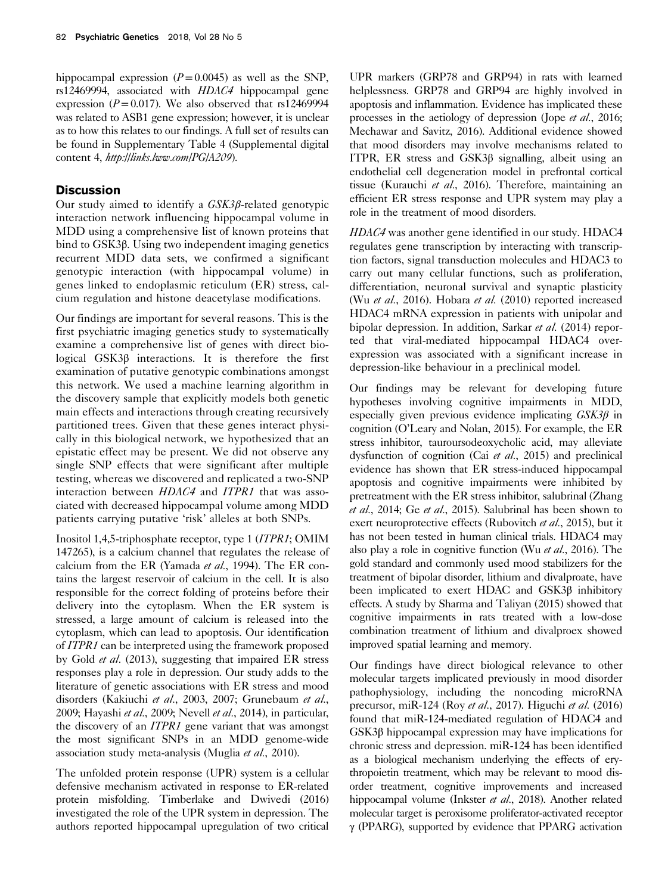hippocampal expression  $(P=0.0045)$  as well as the SNP, rs12469994, associated with HDAC4 hippocampal gene expression ( $P = 0.017$ ). We also observed that rs12469994 was related to ASB1 gene expression; however, it is unclear as to how this relates to our findings. A full set of results can be found in Supplementary Table 4 (Supplemental digital content 4, <http://links.lww.com/PG/A209>).

# **Discussion**

Our study aimed to identify a GSK3β-related genotypic interaction network influencing hippocampal volume in MDD using a comprehensive list of known proteins that bind to GSK3β. Using two independent imaging genetics recurrent MDD data sets, we confirmed a significant genotypic interaction (with hippocampal volume) in genes linked to endoplasmic reticulum (ER) stress, calcium regulation and histone deacetylase modifications.

Our findings are important for several reasons. This is the first psychiatric imaging genetics study to systematically examine a comprehensive list of genes with direct biological GSK3β interactions. It is therefore the first examination of putative genotypic combinations amongst this network. We used a machine learning algorithm in the discovery sample that explicitly models both genetic main effects and interactions through creating recursively partitioned trees. Given that these genes interact physically in this biological network, we hypothesized that an epistatic effect may be present. We did not observe any single SNP effects that were significant after multiple testing, whereas we discovered and replicated a two-SNP interaction between HDAC4 and ITPR1 that was associated with decreased hippocampal volume among MDD patients carrying putative 'risk' alleles at both SNPs.

Inositol 1,4,5-triphosphate receptor, type 1 (ITPR1; OMIM 147265), is a calcium channel that regulates the release of calcium from the ER (Yamada et al., 1994). The ER contains the largest reservoir of calcium in the cell. It is also responsible for the correct folding of proteins before their delivery into the cytoplasm. When the ER system is stressed, a large amount of calcium is released into the cytoplasm, which can lead to apoptosis. Our identification of ITPR1 can be interpreted using the framework proposed by Gold et al. (2013), suggesting that impaired ER stress responses play a role in depression. Our study adds to the literature of genetic associations with ER stress and mood disorders (Kakiuchi et al., 2003, 2007; Grunebaum et al., 2009; Hayashi et al., 2009; Nevell et al., 2014), in particular, the discovery of an ITPR1 gene variant that was amongst the most significant SNPs in an MDD genome-wide association study meta-analysis (Muglia *et al.*, 2010).

The unfolded protein response (UPR) system is a cellular defensive mechanism activated in response to ER-related protein misfolding. Timberlake and Dwivedi (2016) investigated the role of the UPR system in depression. The authors reported hippocampal upregulation of two critical

UPR markers (GRP78 and GRP94) in rats with learned helplessness. GRP78 and GRP94 are highly involved in apoptosis and inflammation. Evidence has implicated these processes in the aetiology of depression (Jope et al., 2016; Mechawar and Savitz, 2016). Additional evidence showed that mood disorders may involve mechanisms related to ITPR, ER stress and GSK3β signalling, albeit using an endothelial cell degeneration model in prefrontal cortical tissue (Kurauchi et al., 2016). Therefore, maintaining an efficient ER stress response and UPR system may play a role in the treatment of mood disorders.

HDAC4 was another gene identified in our study. HDAC4 regulates gene transcription by interacting with transcription factors, signal transduction molecules and HDAC3 to carry out many cellular functions, such as proliferation, differentiation, neuronal survival and synaptic plasticity (Wu et al., 2016). Hobara et al. (2010) reported increased HDAC4 mRNA expression in patients with unipolar and bipolar depression. In addition, Sarkar et al. (2014) reported that viral-mediated hippocampal HDAC4 overexpression was associated with a significant increase in depression-like behaviour in a preclinical model.

Our findings may be relevant for developing future hypotheses involving cognitive impairments in MDD, especially given previous evidence implicating  $GSK3\beta$  in cognition (O'Leary and Nolan, 2015). For example, the ER stress inhibitor, tauroursodeoxycholic acid, may alleviate dysfunction of cognition (Cai et al., 2015) and preclinical evidence has shown that ER stress-induced hippocampal apoptosis and cognitive impairments were inhibited by pretreatment with the ER stress inhibitor, salubrinal (Zhang et al., 2014; Ge et al., 2015). Salubrinal has been shown to exert neuroprotective effects (Rubovitch et al., 2015), but it has not been tested in human clinical trials. HDAC4 may also play a role in cognitive function (Wu et al., 2016). The gold standard and commonly used mood stabilizers for the treatment of bipolar disorder, lithium and divalproate, have been implicated to exert HDAC and GSK3β inhibitory effects. A study by Sharma and Taliyan (2015) showed that cognitive impairments in rats treated with a low-dose combination treatment of lithium and divalproex showed improved spatial learning and memory.

Our findings have direct biological relevance to other molecular targets implicated previously in mood disorder pathophysiology, including the noncoding microRNA precursor, miR-124 (Roy *et al.*, 2017). Higuchi *et al.* (2016) found that miR-124-mediated regulation of HDAC4 and GSK3β hippocampal expression may have implications for chronic stress and depression. miR-124 has been identified as a biological mechanism underlying the effects of erythropoietin treatment, which may be relevant to mood disorder treatment, cognitive improvements and increased hippocampal volume (Inkster et al., 2018). Another related molecular target is peroxisome proliferator-activated receptor γ (PPARG), supported by evidence that PPARG activation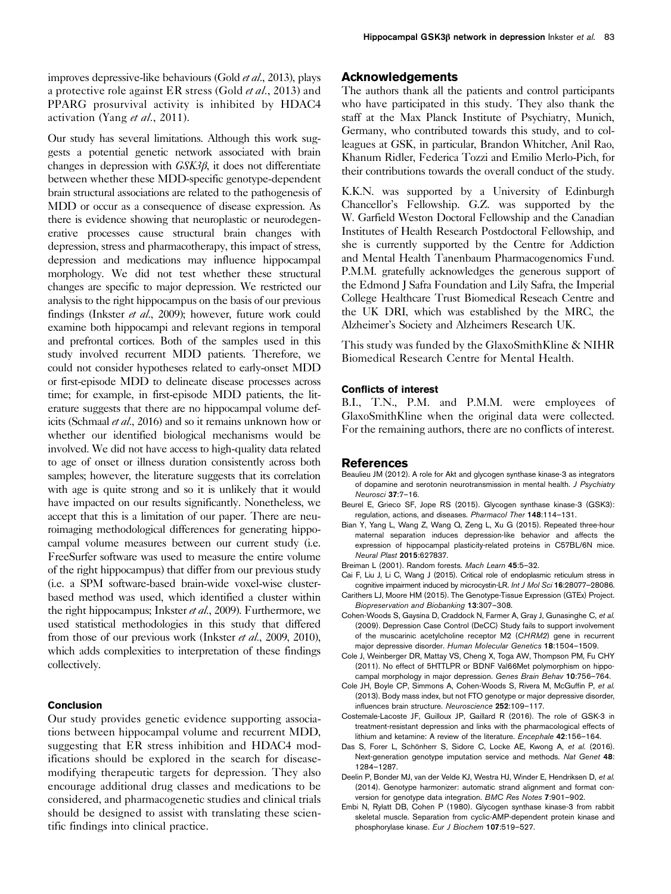Our study has several limitations. Although this work suggests a potential genetic network associated with brain changes in depression with GSK3β, it does not differentiate between whether these MDD-specific genotype-dependent brain structural associations are related to the pathogenesis of MDD or occur as a consequence of disease expression. As there is evidence showing that neuroplastic or neurodegenerative processes cause structural brain changes with depression, stress and pharmacotherapy, this impact of stress, depression and medications may influence hippocampal morphology. We did not test whether these structural changes are specific to major depression. We restricted our analysis to the right hippocampus on the basis of our previous findings (Inkster et al., 2009); however, future work could examine both hippocampi and relevant regions in temporal and prefrontal cortices. Both of the samples used in this study involved recurrent MDD patients. Therefore, we could not consider hypotheses related to early-onset MDD or first-episode MDD to delineate disease processes across time; for example, in first-episode MDD patients, the literature suggests that there are no hippocampal volume deficits (Schmaal et al., 2016) and so it remains unknown how or whether our identified biological mechanisms would be involved. We did not have access to high-quality data related to age of onset or illness duration consistently across both samples; however, the literature suggests that its correlation with age is quite strong and so it is unlikely that it would have impacted on our results significantly. Nonetheless, we accept that this is a limitation of our paper. There are neuroimaging methodological differences for generating hippocampal volume measures between our current study (i.e. FreeSurfer software was used to measure the entire volume of the right hippocampus) that differ from our previous study (i.e. a SPM software-based brain-wide voxel-wise clusterbased method was used, which identified a cluster within the right hippocampus; Inkster et al., 2009). Furthermore, we used statistical methodologies in this study that differed from those of our previous work (Inkster et al., 2009, 2010), which adds complexities to interpretation of these findings collectively.

## Conclusion

Our study provides genetic evidence supporting associations between hippocampal volume and recurrent MDD, suggesting that ER stress inhibition and HDAC4 modifications should be explored in the search for diseasemodifying therapeutic targets for depression. They also encourage additional drug classes and medications to be considered, and pharmacogenetic studies and clinical trials should be designed to assist with translating these scientific findings into clinical practice.

# Acknowledgements

The authors thank all the patients and control participants who have participated in this study. They also thank the staff at the Max Planck Institute of Psychiatry, Munich, Germany, who contributed towards this study, and to colleagues at GSK, in particular, Brandon Whitcher, Anil Rao, Khanum Ridler, Federica Tozzi and Emilio Merlo-Pich, for their contributions towards the overall conduct of the study.

K.K.N. was supported by a University of Edinburgh Chancellor's Fellowship. G.Z. was supported by the W. Garfield Weston Doctoral Fellowship and the Canadian Institutes of Health Research Postdoctoral Fellowship, and she is currently supported by the Centre for Addiction and Mental Health Tanenbaum Pharmacogenomics Fund. P.M.M. gratefully acknowledges the generous support of the Edmond J Safra Foundation and Lily Safra, the Imperial College Healthcare Trust Biomedical Reseach Centre and the UK DRI, which was established by the MRC, the Alzheimer's Society and Alzheimers Research UK.

This study was funded by the GlaxoSmithKline & NIHR Biomedical Research Centre for Mental Health.

## Conflicts of interest

B.I., T.N., P.M. and P.M.M. were employees of GlaxoSmithKline when the original data were collected. For the remaining authors, there are no conflicts of interest.

#### References

- Beaulieu JM (2012). A role for Akt and glycogen synthase kinase-3 as integrators of dopamine and serotonin neurotransmission in mental health. J Psychiatry Neurosci 37:7–16.
- Beurel E, Grieco SF, Jope RS (2015). Glycogen synthase kinase-3 (GSK3): regulation, actions, and diseases. Pharmacol Ther 148:114–131.
- Bian Y, Yang L, Wang Z, Wang Q, Zeng L, Xu G (2015). Repeated three-hour maternal separation induces depression-like behavior and affects the expression of hippocampal plasticity-related proteins in C57BL/6N mice. Neural Plast 2015:627837.
- Breiman L (2001). Random forests. Mach Learn 45:5-32.
- Cai F, Liu J, Li C, Wang J (2015). Critical role of endoplasmic reticulum stress in cognitive impairment induced by microcystin-LR. Int J Mol Sci 16:28077–28086.
- Carithers LJ, Moore HM (2015). The Genotype-Tissue Expression (GTEx) Project. Biopreservation and Biobanking 13:307–308.
- Cohen-Woods S, Gaysina D, Craddock N, Farmer A, Gray J, Gunasinghe C, et al. (2009). Depression Case Control (DeCC) Study fails to support involvement of the muscarinic acetylcholine receptor M2 (CHRM2) gene in recurrent major depressive disorder. Human Molecular Genetics 18:1504–1509.
- Cole J, Weinberger DR, Mattay VS, Cheng X, Toga AW, Thompson PM, Fu CHY (2011). No effect of 5HTTLPR or BDNF Val66Met polymorphism on hippocampal morphology in major depression. Genes Brain Behav 10:756–764.
- Cole JH, Boyle CP, Simmons A, Cohen-Woods S, Rivera M, McGuffin P, et al. (2013). Body mass index, but not FTO genotype or major depressive disorder, influences brain structure. Neuroscience 252:109–117.
- Costemale-Lacoste JF, Guilloux JP, Gaillard R (2016). The role of GSK-3 in treatment-resistant depression and links with the pharmacological effects of lithium and ketamine: A review of the literature. Encephale 42:156-164.
- Das S, Forer L, Schönherr S, Sidore C, Locke AE, Kwong A, et al. (2016). Next-generation genotype imputation service and methods. Nat Genet 48: 1284–1287.
- Deelin P, Bonder MJ, van der Velde KJ, Westra HJ, Winder E, Hendriksen D, et al. (2014). Genotype harmonizer: automatic strand alignment and format conversion for genotype data integration. BMC Res Notes 7:901–902.
- Embi N, Rylatt DB, Cohen P (1980). Glycogen synthase kinase-3 from rabbit skeletal muscle. Separation from cyclic-AMP-dependent protein kinase and phosphorylase kinase. Eur J Biochem 107:519–527.